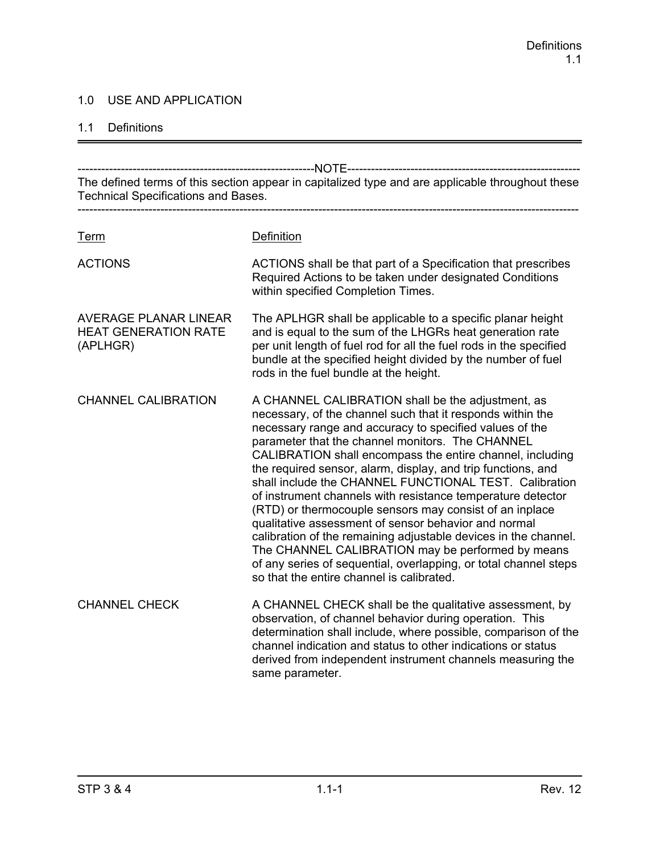### 1.0 USE AND APPLICATION

#### 1.1 Definitions

------------------------------------------------------------NOTE----------------------------------------------------------- The defined terms of this section appear in capitalized type and are applicable throughout these Technical Specifications and Bases. ------------------------------------------------------------------------------------------------------------------------------- Term Definition ACTIONS ACTIONS shall be that part of a Specification that prescribes Required Actions to be taken under designated Conditions within specified Completion Times. AVERAGE PLANAR LINEAR The APLHGR shall be applicable to a specific planar height HEAT GENERATION RATE and is equal to the sum of the LHGRs heat generation rate (APLHGR) per unit length of fuel rod for all the fuel rods in the specified bundle at the specified height divided by the number of fuel rods in the fuel bundle at the height. CHANNEL CALIBRATION A CHANNEL CALIBRATION shall be the adjustment, as necessary, of the channel such that it responds within the necessary range and accuracy to specified values of the parameter that the channel monitors. The CHANNEL CALIBRATION shall encompass the entire channel, including the required sensor, alarm, display, and trip functions, and shall include the CHANNEL FUNCTIONAL TEST. Calibration of instrument channels with resistance temperature detector (RTD) or thermocouple sensors may consist of an inplace qualitative assessment of sensor behavior and normal calibration of the remaining adjustable devices in the channel. The CHANNEL CALIBRATION may be performed by means of any series of sequential, overlapping, or total channel steps so that the entire channel is calibrated. CHANNEL CHECK A CHANNEL CHECK shall be the qualitative assessment, by observation, of channel behavior during operation. This determination shall include, where possible, comparison of the channel indication and status to other indications or status derived from independent instrument channels measuring the same parameter.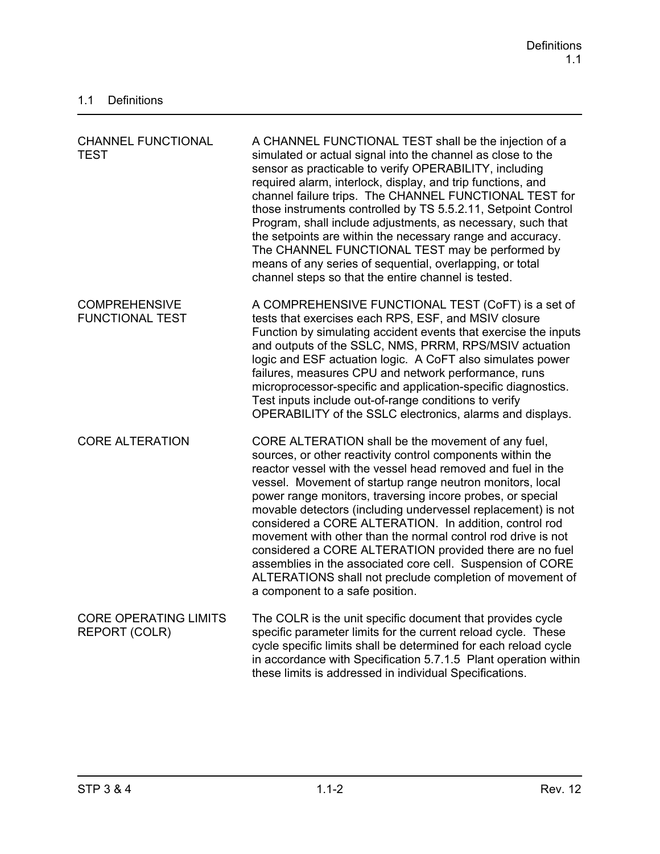| <b>CHANNEL FUNCTIONAL</b><br><b>TEST</b>       | A CHANNEL FUNCTIONAL TEST shall be the injection of a<br>simulated or actual signal into the channel as close to the<br>sensor as practicable to verify OPERABILITY, including<br>required alarm, interlock, display, and trip functions, and<br>channel failure trips. The CHANNEL FUNCTIONAL TEST for<br>those instruments controlled by TS 5.5.2.11, Setpoint Control<br>Program, shall include adjustments, as necessary, such that<br>the setpoints are within the necessary range and accuracy.<br>The CHANNEL FUNCTIONAL TEST may be performed by<br>means of any series of sequential, overlapping, or total<br>channel steps so that the entire channel is tested.                                                  |
|------------------------------------------------|------------------------------------------------------------------------------------------------------------------------------------------------------------------------------------------------------------------------------------------------------------------------------------------------------------------------------------------------------------------------------------------------------------------------------------------------------------------------------------------------------------------------------------------------------------------------------------------------------------------------------------------------------------------------------------------------------------------------------|
| <b>COMPREHENSIVE</b><br><b>FUNCTIONAL TEST</b> | A COMPREHENSIVE FUNCTIONAL TEST (CoFT) is a set of<br>tests that exercises each RPS, ESF, and MSIV closure<br>Function by simulating accident events that exercise the inputs<br>and outputs of the SSLC, NMS, PRRM, RPS/MSIV actuation<br>logic and ESF actuation logic. A CoFT also simulates power<br>failures, measures CPU and network performance, runs<br>microprocessor-specific and application-specific diagnostics.<br>Test inputs include out-of-range conditions to verify<br>OPERABILITY of the SSLC electronics, alarms and displays.                                                                                                                                                                         |
| <b>CORE ALTERATION</b>                         | CORE ALTERATION shall be the movement of any fuel,<br>sources, or other reactivity control components within the<br>reactor vessel with the vessel head removed and fuel in the<br>vessel. Movement of startup range neutron monitors, local<br>power range monitors, traversing incore probes, or special<br>movable detectors (including undervessel replacement) is not<br>considered a CORE ALTERATION. In addition, control rod<br>movement with other than the normal control rod drive is not<br>considered a CORE ALTERATION provided there are no fuel<br>assemblies in the associated core cell. Suspension of CORE<br>ALTERATIONS shall not preclude completion of movement of<br>a component to a safe position. |
| <b>CORE OPERATING LIMITS</b><br>REPORT (COLR)  | The COLR is the unit specific document that provides cycle<br>specific parameter limits for the current reload cycle. These<br>cycle specific limits shall be determined for each reload cycle<br>in accordance with Specification 5.7.1.5 Plant operation within<br>these limits is addressed in individual Specifications.                                                                                                                                                                                                                                                                                                                                                                                                 |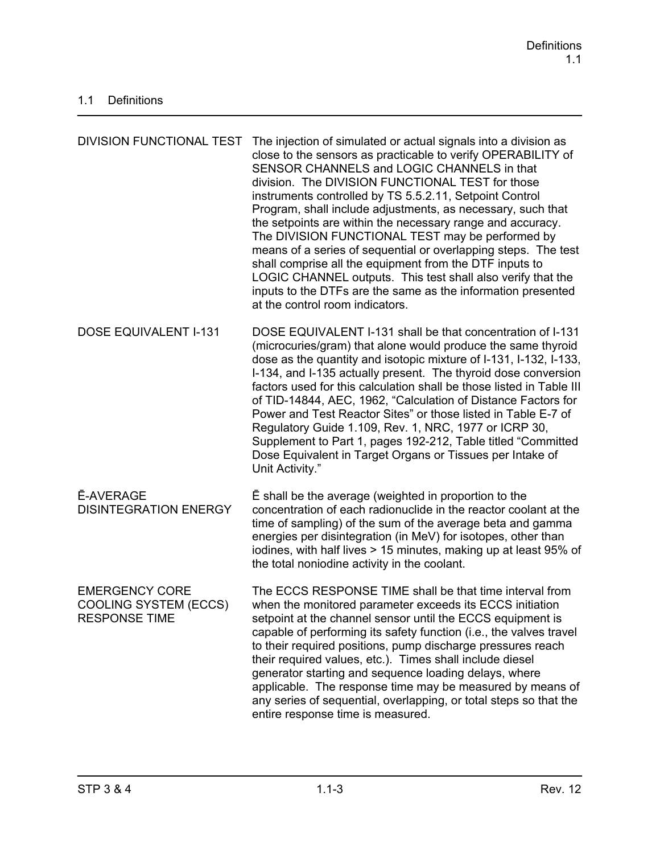| <b>DIVISION FUNCTIONAL TEST</b>                                               | The injection of simulated or actual signals into a division as<br>close to the sensors as practicable to verify OPERABILITY of<br>SENSOR CHANNELS and LOGIC CHANNELS in that<br>division. The DIVISION FUNCTIONAL TEST for those<br>instruments controlled by TS 5.5.2.11, Setpoint Control<br>Program, shall include adjustments, as necessary, such that<br>the setpoints are within the necessary range and accuracy.<br>The DIVISION FUNCTIONAL TEST may be performed by<br>means of a series of sequential or overlapping steps. The test<br>shall comprise all the equipment from the DTF inputs to<br>LOGIC CHANNEL outputs. This test shall also verify that the<br>inputs to the DTFs are the same as the information presented<br>at the control room indicators. |
|-------------------------------------------------------------------------------|------------------------------------------------------------------------------------------------------------------------------------------------------------------------------------------------------------------------------------------------------------------------------------------------------------------------------------------------------------------------------------------------------------------------------------------------------------------------------------------------------------------------------------------------------------------------------------------------------------------------------------------------------------------------------------------------------------------------------------------------------------------------------|
| <b>DOSE EQUIVALENT I-131</b>                                                  | DOSE EQUIVALENT I-131 shall be that concentration of I-131<br>(microcuries/gram) that alone would produce the same thyroid<br>dose as the quantity and isotopic mixture of I-131, I-132, I-133,<br>I-134, and I-135 actually present. The thyroid dose conversion<br>factors used for this calculation shall be those listed in Table III<br>of TID-14844, AEC, 1962, "Calculation of Distance Factors for<br>Power and Test Reactor Sites" or those listed in Table E-7 of<br>Regulatory Guide 1.109, Rev. 1, NRC, 1977 or ICRP 30,<br>Supplement to Part 1, pages 192-212, Table titled "Committed"<br>Dose Equivalent in Target Organs or Tissues per Intake of<br>Unit Activity."                                                                                        |
| <b>Ē-AVERAGE</b><br><b>DISINTEGRATION ENERGY</b>                              | E shall be the average (weighted in proportion to the<br>concentration of each radionuclide in the reactor coolant at the<br>time of sampling) of the sum of the average beta and gamma<br>energies per disintegration (in MeV) for isotopes, other than<br>iodines, with half lives > 15 minutes, making up at least 95% of<br>the total noniodine activity in the coolant.                                                                                                                                                                                                                                                                                                                                                                                                 |
| <b>EMERGENCY CORE</b><br><b>COOLING SYSTEM (ECCS)</b><br><b>RESPONSE TIME</b> | The ECCS RESPONSE TIME shall be that time interval from<br>when the monitored parameter exceeds its ECCS initiation<br>setpoint at the channel sensor until the ECCS equipment is<br>capable of performing its safety function (i.e., the valves travel<br>to their required positions, pump discharge pressures reach<br>their required values, etc.). Times shall include diesel<br>generator starting and sequence loading delays, where<br>applicable. The response time may be measured by means of<br>any series of sequential, overlapping, or total steps so that the<br>entire response time is measured.                                                                                                                                                           |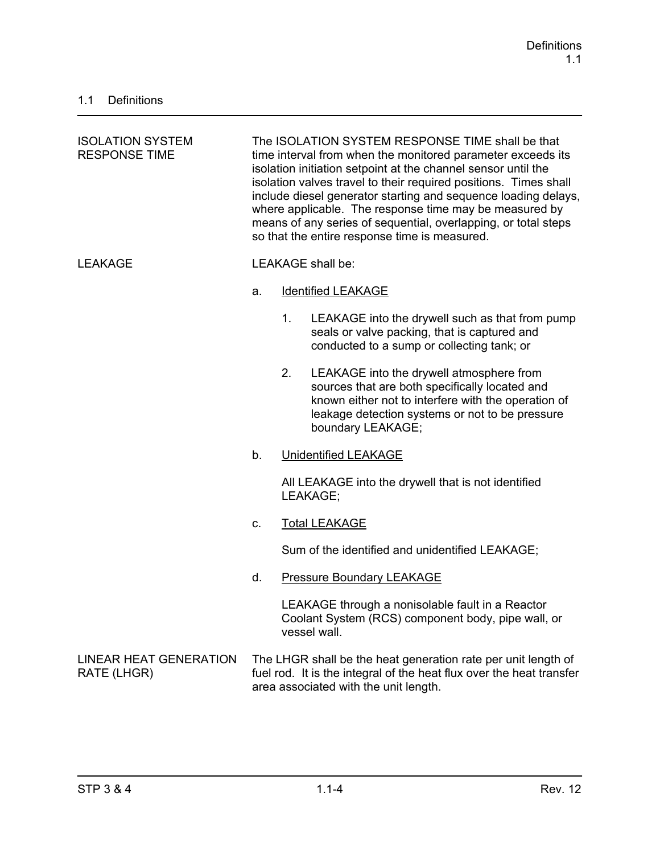| <b>ISOLATION SYSTEM</b><br><b>RESPONSE TIME</b> | The ISOLATION SYSTEM RESPONSE TIME shall be that<br>time interval from when the monitored parameter exceeds its<br>isolation initiation setpoint at the channel sensor until the<br>isolation valves travel to their required positions. Times shall<br>include diesel generator starting and sequence loading delays,<br>where applicable. The response time may be measured by<br>means of any series of sequential, overlapping, or total steps<br>so that the entire response time is measured. |    |                                                                                                                                                                                                                           |
|-------------------------------------------------|-----------------------------------------------------------------------------------------------------------------------------------------------------------------------------------------------------------------------------------------------------------------------------------------------------------------------------------------------------------------------------------------------------------------------------------------------------------------------------------------------------|----|---------------------------------------------------------------------------------------------------------------------------------------------------------------------------------------------------------------------------|
| <b>LEAKAGE</b>                                  |                                                                                                                                                                                                                                                                                                                                                                                                                                                                                                     |    | LEAKAGE shall be:                                                                                                                                                                                                         |
|                                                 | a.                                                                                                                                                                                                                                                                                                                                                                                                                                                                                                  |    | <b>Identified LEAKAGE</b>                                                                                                                                                                                                 |
|                                                 |                                                                                                                                                                                                                                                                                                                                                                                                                                                                                                     | 1. | LEAKAGE into the drywell such as that from pump<br>seals or valve packing, that is captured and<br>conducted to a sump or collecting tank; or                                                                             |
|                                                 |                                                                                                                                                                                                                                                                                                                                                                                                                                                                                                     | 2. | LEAKAGE into the drywell atmosphere from<br>sources that are both specifically located and<br>known either not to interfere with the operation of<br>leakage detection systems or not to be pressure<br>boundary LEAKAGE; |
|                                                 | b.                                                                                                                                                                                                                                                                                                                                                                                                                                                                                                  |    | <b>Unidentified LEAKAGE</b>                                                                                                                                                                                               |
|                                                 |                                                                                                                                                                                                                                                                                                                                                                                                                                                                                                     |    | All LEAKAGE into the drywell that is not identified<br>LEAKAGE;                                                                                                                                                           |
|                                                 | C.                                                                                                                                                                                                                                                                                                                                                                                                                                                                                                  |    | <b>Total LEAKAGE</b>                                                                                                                                                                                                      |
|                                                 |                                                                                                                                                                                                                                                                                                                                                                                                                                                                                                     |    | Sum of the identified and unidentified LEAKAGE;                                                                                                                                                                           |
|                                                 | d.                                                                                                                                                                                                                                                                                                                                                                                                                                                                                                  |    | <b>Pressure Boundary LEAKAGE</b>                                                                                                                                                                                          |
|                                                 |                                                                                                                                                                                                                                                                                                                                                                                                                                                                                                     |    | LEAKAGE through a nonisolable fault in a Reactor<br>Coolant System (RCS) component body, pipe wall, or<br>vessel wall.                                                                                                    |
| <b>LINEAR HEAT GENERATION</b><br>RATE (LHGR)    |                                                                                                                                                                                                                                                                                                                                                                                                                                                                                                     |    | The LHGR shall be the heat generation rate per unit length of<br>fuel rod. It is the integral of the heat flux over the heat transfer<br>area associated with the unit length.                                            |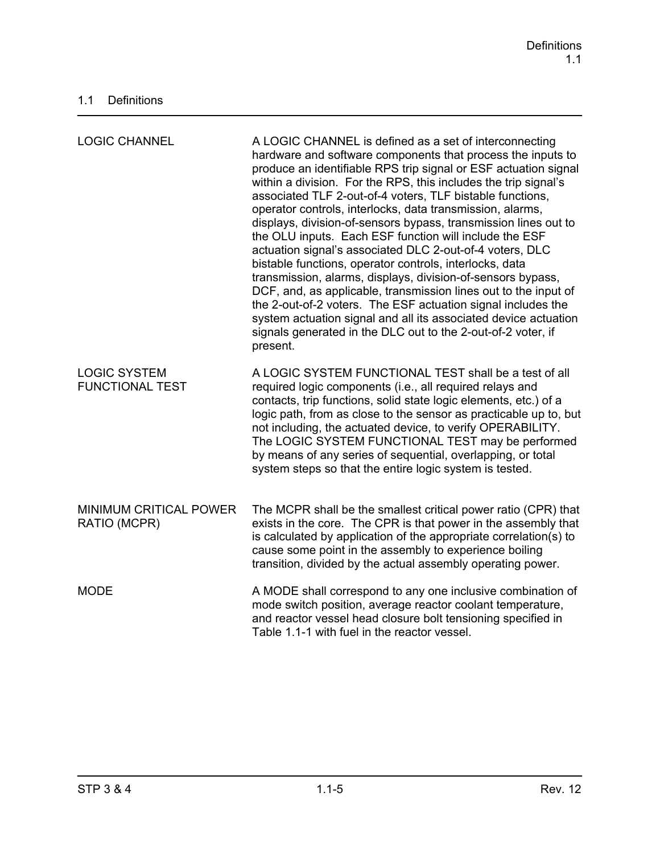| <b>LOGIC CHANNEL</b>                          | A LOGIC CHANNEL is defined as a set of interconnecting<br>hardware and software components that process the inputs to<br>produce an identifiable RPS trip signal or ESF actuation signal<br>within a division. For the RPS, this includes the trip signal's<br>associated TLF 2-out-of-4 voters, TLF bistable functions,<br>operator controls, interlocks, data transmission, alarms,<br>displays, division-of-sensors bypass, transmission lines out to<br>the OLU inputs. Each ESF function will include the ESF<br>actuation signal's associated DLC 2-out-of-4 voters, DLC<br>bistable functions, operator controls, interlocks, data<br>transmission, alarms, displays, division-of-sensors bypass,<br>DCF, and, as applicable, transmission lines out to the input of<br>the 2-out-of-2 voters. The ESF actuation signal includes the<br>system actuation signal and all its associated device actuation<br>signals generated in the DLC out to the 2-out-of-2 voter, if<br>present. |
|-----------------------------------------------|--------------------------------------------------------------------------------------------------------------------------------------------------------------------------------------------------------------------------------------------------------------------------------------------------------------------------------------------------------------------------------------------------------------------------------------------------------------------------------------------------------------------------------------------------------------------------------------------------------------------------------------------------------------------------------------------------------------------------------------------------------------------------------------------------------------------------------------------------------------------------------------------------------------------------------------------------------------------------------------------|
| <b>LOGIC SYSTEM</b><br><b>FUNCTIONAL TEST</b> | A LOGIC SYSTEM FUNCTIONAL TEST shall be a test of all<br>required logic components (i.e., all required relays and<br>contacts, trip functions, solid state logic elements, etc.) of a<br>logic path, from as close to the sensor as practicable up to, but<br>not including, the actuated device, to verify OPERABILITY.<br>The LOGIC SYSTEM FUNCTIONAL TEST may be performed<br>by means of any series of sequential, overlapping, or total<br>system steps so that the entire logic system is tested.                                                                                                                                                                                                                                                                                                                                                                                                                                                                                    |
| <b>MINIMUM CRITICAL POWER</b><br>RATIO (MCPR) | The MCPR shall be the smallest critical power ratio (CPR) that<br>exists in the core. The CPR is that power in the assembly that<br>is calculated by application of the appropriate correlation(s) to<br>cause some point in the assembly to experience boiling<br>transition, divided by the actual assembly operating power.                                                                                                                                                                                                                                                                                                                                                                                                                                                                                                                                                                                                                                                             |
| <b>MODE</b>                                   | A MODE shall correspond to any one inclusive combination of<br>mode switch position, average reactor coolant temperature,<br>and reactor vessel head closure bolt tensioning specified in<br>Table 1.1-1 with fuel in the reactor vessel.                                                                                                                                                                                                                                                                                                                                                                                                                                                                                                                                                                                                                                                                                                                                                  |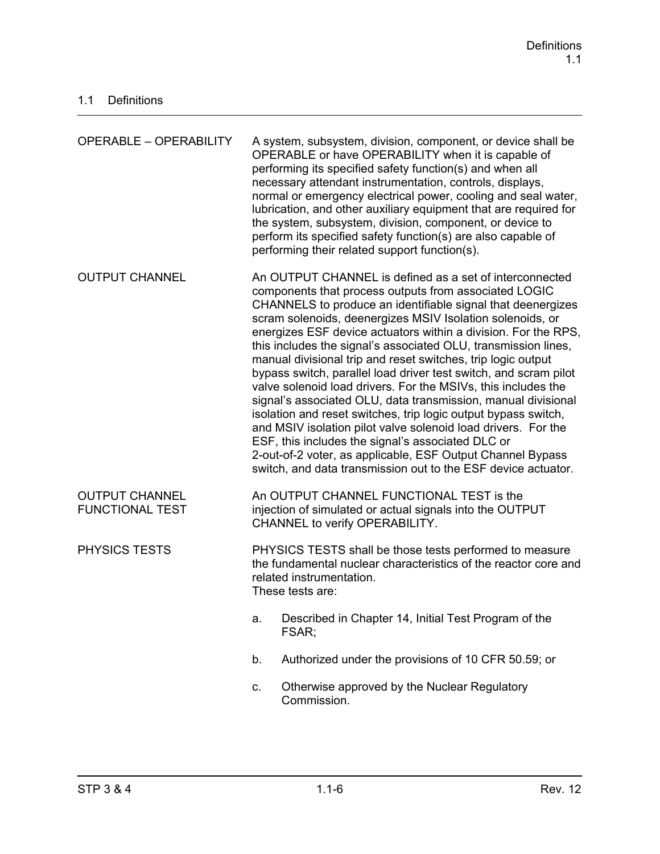| <b>OPERABLE - OPERABILITY</b>                   |                                                                                                                                                                                                                                                                                                                                                                                                                                                                                                                                                                                                                                                                                                                                                                                                                                                                                                                                                                               | A system, subsystem, division, component, or device shall be<br>OPERABLE or have OPERABILITY when it is capable of<br>performing its specified safety function(s) and when all<br>necessary attendant instrumentation, controls, displays,<br>normal or emergency electrical power, cooling and seal water,<br>lubrication, and other auxiliary equipment that are required for<br>the system, subsystem, division, component, or device to<br>perform its specified safety function(s) are also capable of<br>performing their related support function(s). |  |
|-------------------------------------------------|-------------------------------------------------------------------------------------------------------------------------------------------------------------------------------------------------------------------------------------------------------------------------------------------------------------------------------------------------------------------------------------------------------------------------------------------------------------------------------------------------------------------------------------------------------------------------------------------------------------------------------------------------------------------------------------------------------------------------------------------------------------------------------------------------------------------------------------------------------------------------------------------------------------------------------------------------------------------------------|--------------------------------------------------------------------------------------------------------------------------------------------------------------------------------------------------------------------------------------------------------------------------------------------------------------------------------------------------------------------------------------------------------------------------------------------------------------------------------------------------------------------------------------------------------------|--|
| <b>OUTPUT CHANNEL</b>                           | An OUTPUT CHANNEL is defined as a set of interconnected<br>components that process outputs from associated LOGIC<br>CHANNELS to produce an identifiable signal that deenergizes<br>scram solenoids, deenergizes MSIV Isolation solenoids, or<br>energizes ESF device actuators within a division. For the RPS,<br>this includes the signal's associated OLU, transmission lines,<br>manual divisional trip and reset switches, trip logic output<br>bypass switch, parallel load driver test switch, and scram pilot<br>valve solenoid load drivers. For the MSIVs, this includes the<br>signal's associated OLU, data transmission, manual divisional<br>isolation and reset switches, trip logic output bypass switch,<br>and MSIV isolation pilot valve solenoid load drivers. For the<br>ESF, this includes the signal's associated DLC or<br>2-out-of-2 voter, as applicable, ESF Output Channel Bypass<br>switch, and data transmission out to the ESF device actuator. |                                                                                                                                                                                                                                                                                                                                                                                                                                                                                                                                                              |  |
| <b>OUTPUT CHANNEL</b><br><b>FUNCTIONAL TEST</b> | An OUTPUT CHANNEL FUNCTIONAL TEST is the<br>injection of simulated or actual signals into the OUTPUT<br>CHANNEL to verify OPERABILITY.                                                                                                                                                                                                                                                                                                                                                                                                                                                                                                                                                                                                                                                                                                                                                                                                                                        |                                                                                                                                                                                                                                                                                                                                                                                                                                                                                                                                                              |  |
| <b>PHYSICS TESTS</b>                            | PHYSICS TESTS shall be those tests performed to measure<br>the fundamental nuclear characteristics of the reactor core and<br>related instrumentation.<br>These tests are:                                                                                                                                                                                                                                                                                                                                                                                                                                                                                                                                                                                                                                                                                                                                                                                                    |                                                                                                                                                                                                                                                                                                                                                                                                                                                                                                                                                              |  |
|                                                 | a.                                                                                                                                                                                                                                                                                                                                                                                                                                                                                                                                                                                                                                                                                                                                                                                                                                                                                                                                                                            | Described in Chapter 14, Initial Test Program of the<br>FSAR;                                                                                                                                                                                                                                                                                                                                                                                                                                                                                                |  |
|                                                 | b.                                                                                                                                                                                                                                                                                                                                                                                                                                                                                                                                                                                                                                                                                                                                                                                                                                                                                                                                                                            | Authorized under the provisions of 10 CFR 50.59; or                                                                                                                                                                                                                                                                                                                                                                                                                                                                                                          |  |
|                                                 | C.                                                                                                                                                                                                                                                                                                                                                                                                                                                                                                                                                                                                                                                                                                                                                                                                                                                                                                                                                                            | Otherwise approved by the Nuclear Regulatory<br>Commission.                                                                                                                                                                                                                                                                                                                                                                                                                                                                                                  |  |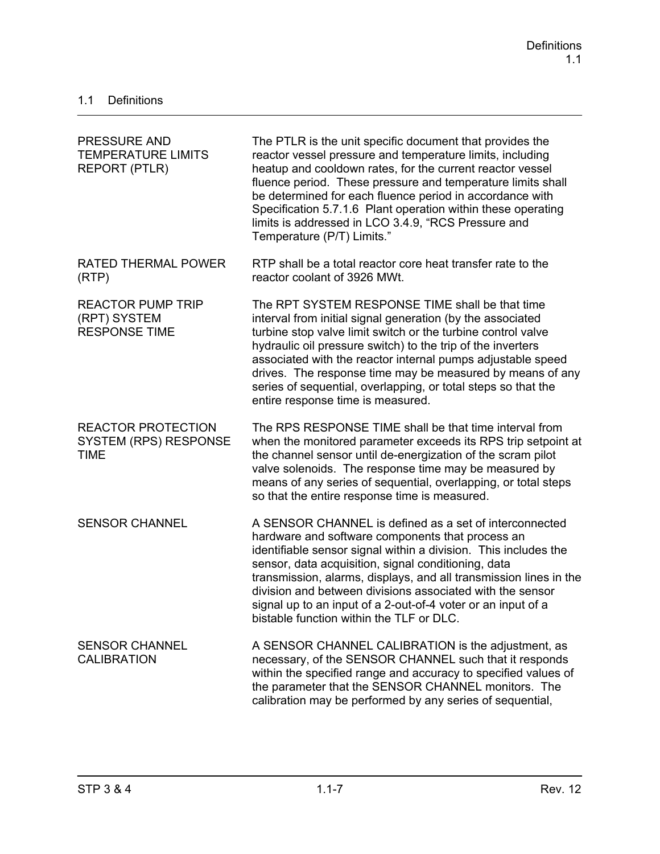| <b>PRESSURE AND</b><br><b>TEMPERATURE LIMITS</b><br><b>REPORT (PTLR)</b> | The PTLR is the unit specific document that provides the<br>reactor vessel pressure and temperature limits, including<br>heatup and cooldown rates, for the current reactor vessel<br>fluence period. These pressure and temperature limits shall<br>be determined for each fluence period in accordance with<br>Specification 5.7.1.6 Plant operation within these operating<br>limits is addressed in LCO 3.4.9, "RCS Pressure and<br>Temperature (P/T) Limits."                 |
|--------------------------------------------------------------------------|------------------------------------------------------------------------------------------------------------------------------------------------------------------------------------------------------------------------------------------------------------------------------------------------------------------------------------------------------------------------------------------------------------------------------------------------------------------------------------|
| <b>RATED THERMAL POWER</b><br>(RTP)                                      | RTP shall be a total reactor core heat transfer rate to the<br>reactor coolant of 3926 MWt.                                                                                                                                                                                                                                                                                                                                                                                        |
| <b>REACTOR PUMP TRIP</b><br>(RPT) SYSTEM<br><b>RESPONSE TIME</b>         | The RPT SYSTEM RESPONSE TIME shall be that time<br>interval from initial signal generation (by the associated<br>turbine stop valve limit switch or the turbine control valve<br>hydraulic oil pressure switch) to the trip of the inverters<br>associated with the reactor internal pumps adjustable speed<br>drives. The response time may be measured by means of any<br>series of sequential, overlapping, or total steps so that the<br>entire response time is measured.     |
| <b>REACTOR PROTECTION</b><br><b>SYSTEM (RPS) RESPONSE</b><br><b>TIME</b> | The RPS RESPONSE TIME shall be that time interval from<br>when the monitored parameter exceeds its RPS trip setpoint at<br>the channel sensor until de-energization of the scram pilot<br>valve solenoids. The response time may be measured by<br>means of any series of sequential, overlapping, or total steps<br>so that the entire response time is measured.                                                                                                                 |
| <b>SENSOR CHANNEL</b>                                                    | A SENSOR CHANNEL is defined as a set of interconnected<br>hardware and software components that process an<br>identifiable sensor signal within a division. This includes the<br>sensor, data acquisition, signal conditioning, data<br>transmission, alarms, displays, and all transmission lines in the<br>division and between divisions associated with the sensor<br>signal up to an input of a 2-out-of-4 voter or an input of a<br>bistable function within the TLF or DLC. |
| <b>SENSOR CHANNEL</b><br><b>CALIBRATION</b>                              | A SENSOR CHANNEL CALIBRATION is the adjustment, as<br>necessary, of the SENSOR CHANNEL such that it responds<br>within the specified range and accuracy to specified values of<br>the parameter that the SENSOR CHANNEL monitors. The<br>calibration may be performed by any series of sequential,                                                                                                                                                                                 |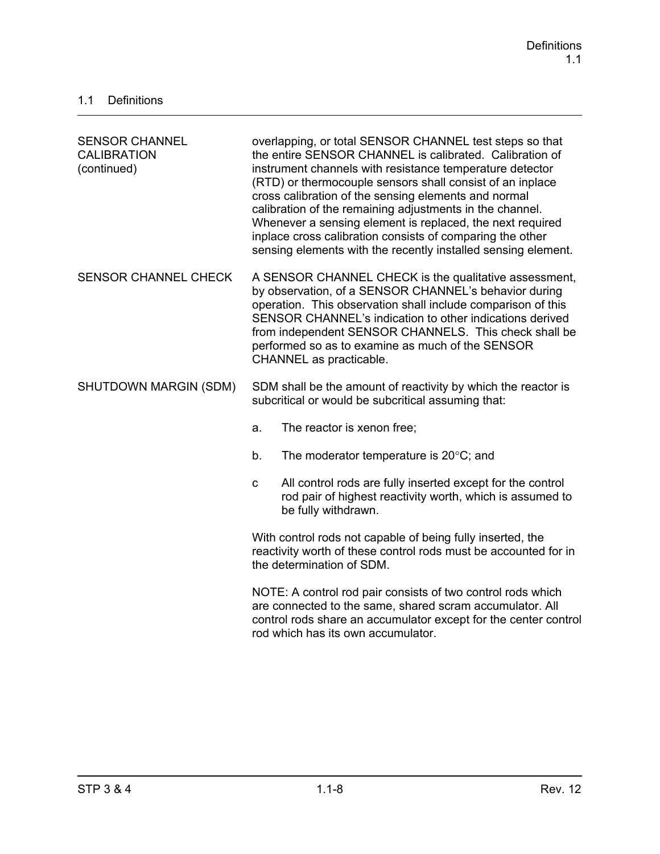| <b>SENSOR CHANNEL</b><br><b>CALIBRATION</b><br>(continued) | overlapping, or total SENSOR CHANNEL test steps so that<br>the entire SENSOR CHANNEL is calibrated. Calibration of<br>instrument channels with resistance temperature detector<br>(RTD) or thermocouple sensors shall consist of an inplace<br>cross calibration of the sensing elements and normal<br>calibration of the remaining adjustments in the channel.<br>Whenever a sensing element is replaced, the next required<br>inplace cross calibration consists of comparing the other<br>sensing elements with the recently installed sensing element. |
|------------------------------------------------------------|------------------------------------------------------------------------------------------------------------------------------------------------------------------------------------------------------------------------------------------------------------------------------------------------------------------------------------------------------------------------------------------------------------------------------------------------------------------------------------------------------------------------------------------------------------|
| <b>SENSOR CHANNEL CHECK</b>                                | A SENSOR CHANNEL CHECK is the qualitative assessment,<br>by observation, of a SENSOR CHANNEL's behavior during<br>operation. This observation shall include comparison of this<br>SENSOR CHANNEL's indication to other indications derived<br>from independent SENSOR CHANNELS. This check shall be<br>performed so as to examine as much of the SENSOR<br>CHANNEL as practicable.                                                                                                                                                                         |
| SHUTDOWN MARGIN (SDM)                                      | SDM shall be the amount of reactivity by which the reactor is<br>subcritical or would be subcritical assuming that:                                                                                                                                                                                                                                                                                                                                                                                                                                        |
|                                                            | The reactor is xenon free;<br>a.                                                                                                                                                                                                                                                                                                                                                                                                                                                                                                                           |
|                                                            | The moderator temperature is $20^{\circ}$ C; and<br>b.                                                                                                                                                                                                                                                                                                                                                                                                                                                                                                     |
|                                                            | All control rods are fully inserted except for the control<br>$\mathbf{C}$<br>rod pair of highest reactivity worth, which is assumed to<br>be fully withdrawn.                                                                                                                                                                                                                                                                                                                                                                                             |
|                                                            | With control rods not capable of being fully inserted, the<br>reactivity worth of these control rods must be accounted for in<br>the determination of SDM.                                                                                                                                                                                                                                                                                                                                                                                                 |
|                                                            | NOTE: A control rod pair consists of two control rods which<br>are connected to the same, shared scram accumulator. All<br>control rods share an accumulator except for the center control<br>rod which has its own accumulator.                                                                                                                                                                                                                                                                                                                           |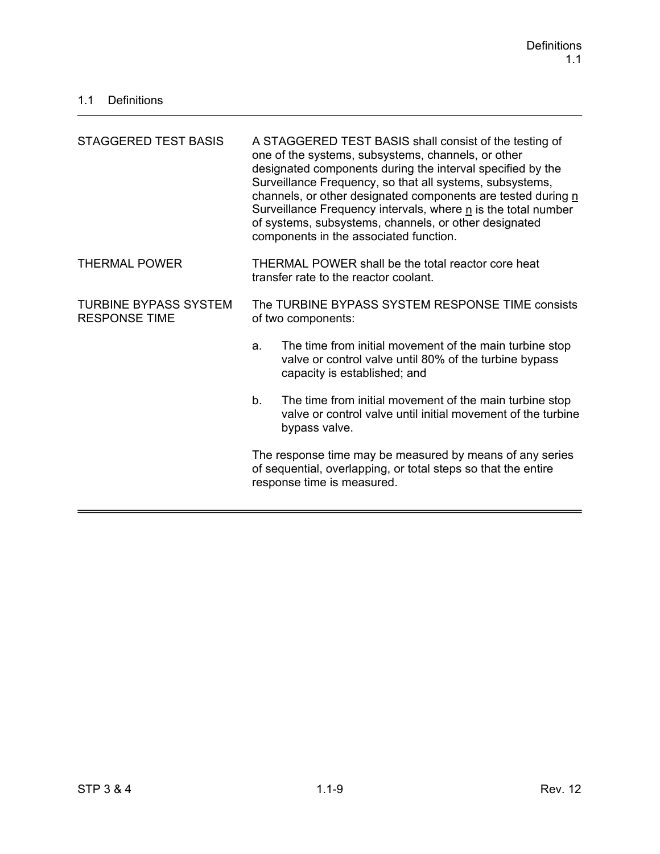| STAGGERED TEST BASIS                                 | A STAGGERED TEST BASIS shall consist of the testing of<br>one of the systems, subsystems, channels, or other<br>designated components during the interval specified by the<br>Surveillance Frequency, so that all systems, subsystems,<br>channels, or other designated components are tested during n<br>Surveillance Frequency intervals, where n is the total number<br>of systems, subsystems, channels, or other designated<br>components in the associated function. |  |
|------------------------------------------------------|----------------------------------------------------------------------------------------------------------------------------------------------------------------------------------------------------------------------------------------------------------------------------------------------------------------------------------------------------------------------------------------------------------------------------------------------------------------------------|--|
| <b>THERMAL POWER</b>                                 | THERMAL POWER shall be the total reactor core heat<br>transfer rate to the reactor coolant.                                                                                                                                                                                                                                                                                                                                                                                |  |
| <b>TURBINE BYPASS SYSTEM</b><br><b>RESPONSE TIME</b> | The TURBINE BYPASS SYSTEM RESPONSE TIME consists<br>of two components:                                                                                                                                                                                                                                                                                                                                                                                                     |  |
|                                                      | The time from initial movement of the main turbine stop<br>a.<br>valve or control valve until 80% of the turbine bypass<br>capacity is established; and                                                                                                                                                                                                                                                                                                                    |  |
|                                                      | The time from initial movement of the main turbine stop<br>b.<br>valve or control valve until initial movement of the turbine<br>bypass valve.                                                                                                                                                                                                                                                                                                                             |  |
|                                                      | The response time may be measured by means of any series<br>of sequential, overlapping, or total steps so that the entire<br>response time is measured.                                                                                                                                                                                                                                                                                                                    |  |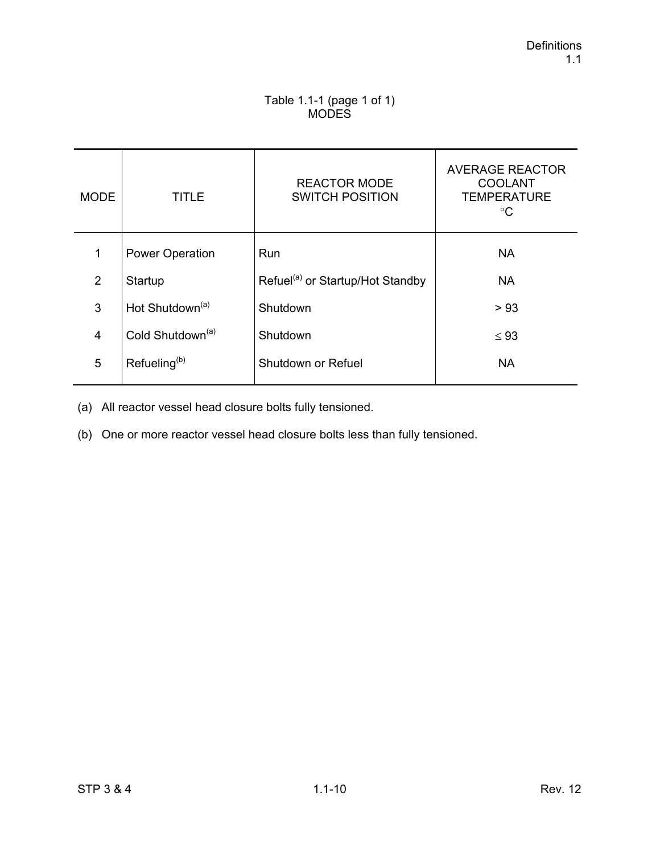### Table 1.1-1 (page 1 of 1) **MODES**

| <b>MODE</b>    | TITLE                        | <b>REACTOR MODE</b><br><b>SWITCH POSITION</b> | <b>AVERAGE REACTOR</b><br><b>COOLANT</b><br><b>TEMPERATURE</b><br>°C |
|----------------|------------------------------|-----------------------------------------------|----------------------------------------------------------------------|
| 1              | <b>Power Operation</b>       | Run                                           | <b>NA</b>                                                            |
| 2              | Startup                      | Refuel <sup>(a)</sup> or Startup/Hot Standby  | <b>NA</b>                                                            |
| 3              | Hot Shutdown <sup>(a)</sup>  | Shutdown                                      | > 93                                                                 |
| $\overline{4}$ | Cold Shutdown <sup>(a)</sup> | Shutdown                                      | $\leq 93$                                                            |
| 5              | Refueling <sup>(b)</sup>     | Shutdown or Refuel                            | <b>NA</b>                                                            |

(a) All reactor vessel head closure bolts fully tensioned.

(b) One or more reactor vessel head closure bolts less than fully tensioned.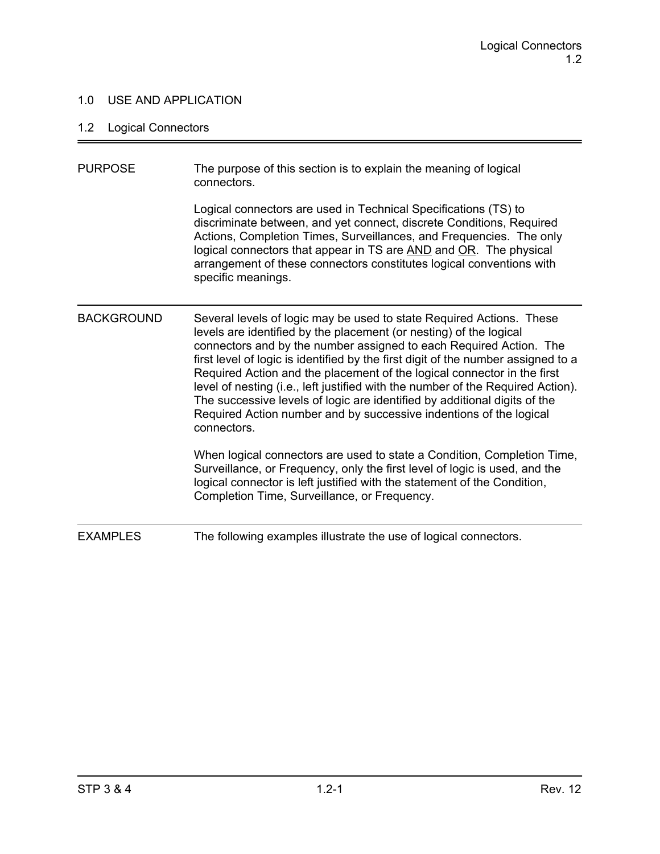### 1.0 USE AND APPLICATION

# 1.2 Logical Connectors

| <b>PURPOSE</b>    | The purpose of this section is to explain the meaning of logical<br>connectors.                                                                                                                                                                                                                                                                                                                                                                                                                                                                                                                                                       |
|-------------------|---------------------------------------------------------------------------------------------------------------------------------------------------------------------------------------------------------------------------------------------------------------------------------------------------------------------------------------------------------------------------------------------------------------------------------------------------------------------------------------------------------------------------------------------------------------------------------------------------------------------------------------|
|                   | Logical connectors are used in Technical Specifications (TS) to<br>discriminate between, and yet connect, discrete Conditions, Required<br>Actions, Completion Times, Surveillances, and Frequencies. The only<br>logical connectors that appear in TS are AND and OR. The physical<br>arrangement of these connectors constitutes logical conventions with<br>specific meanings.                                                                                                                                                                                                                                                     |
| <b>BACKGROUND</b> | Several levels of logic may be used to state Required Actions. These<br>levels are identified by the placement (or nesting) of the logical<br>connectors and by the number assigned to each Required Action. The<br>first level of logic is identified by the first digit of the number assigned to a<br>Required Action and the placement of the logical connector in the first<br>level of nesting (i.e., left justified with the number of the Required Action).<br>The successive levels of logic are identified by additional digits of the<br>Required Action number and by successive indentions of the logical<br>connectors. |
|                   | When logical connectors are used to state a Condition, Completion Time,<br>Surveillance, or Frequency, only the first level of logic is used, and the<br>logical connector is left justified with the statement of the Condition,<br>Completion Time, Surveillance, or Frequency.                                                                                                                                                                                                                                                                                                                                                     |
| <b>EXAMPLES</b>   | The following examples illustrate the use of logical connectors.                                                                                                                                                                                                                                                                                                                                                                                                                                                                                                                                                                      |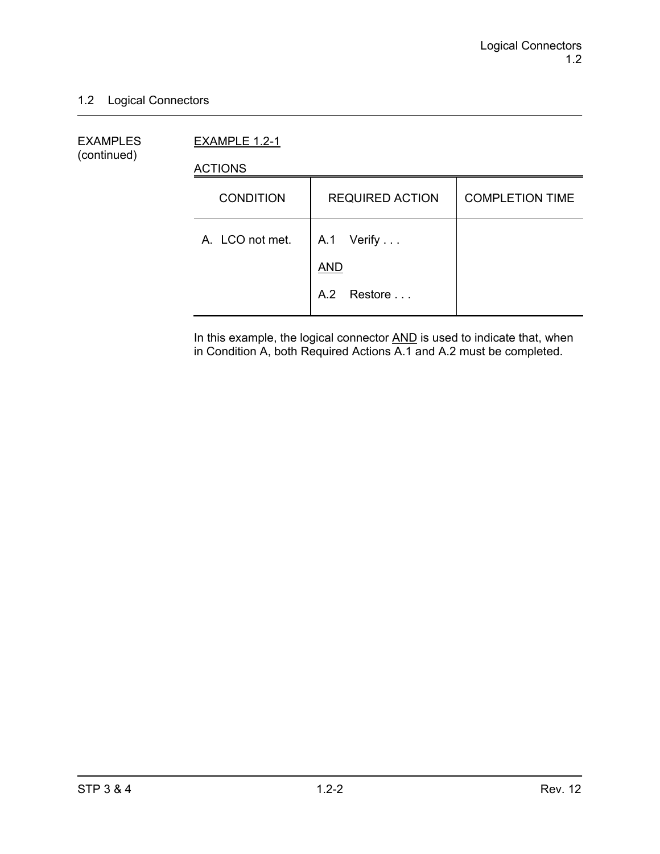### 1.2 Logical Connectors

EXAMPLES EXAMPLE 1.2-1 (continued)

ACTIONS

| <b>CONDITION</b> | <b>REQUIRED ACTION</b>   | <b>COMPLETION TIME</b> |
|------------------|--------------------------|------------------------|
| A. LCO not met.  | A.1 Verify<br><b>AND</b> |                        |
|                  | A.2 Restore              |                        |

In this example, the logical connector **AND** is used to indicate that, when in Condition A, both Required Actions A.1 and A.2 must be completed.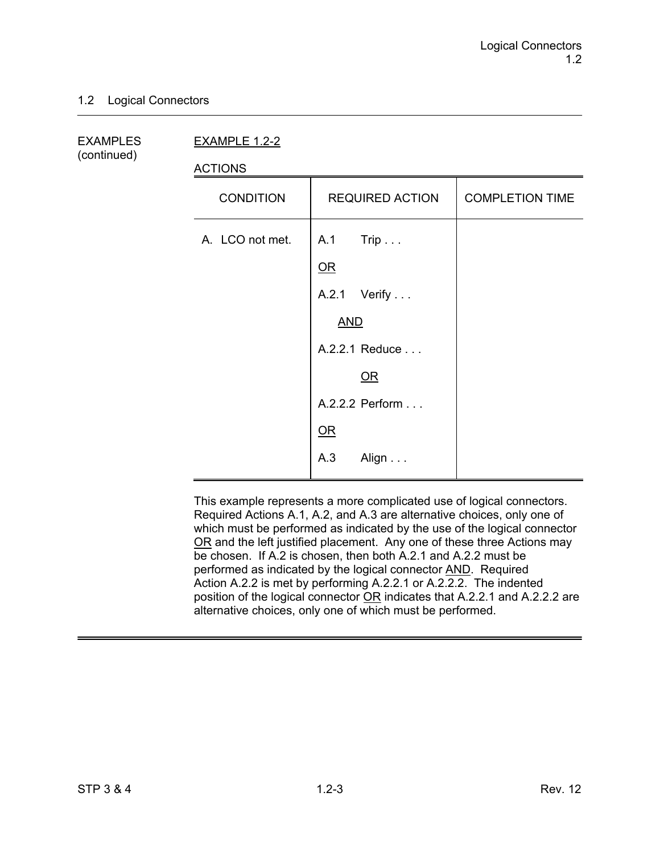### 1.2 Logical Connectors

(continued)

EXAMPLES EXAMPLE 1.2-2

ACTIONS

| <b>CONDITION</b> | <b>REQUIRED ACTION</b> | <b>COMPLETION TIME</b> |
|------------------|------------------------|------------------------|
| A. LCO not met.  | A.1 Trip               |                        |
|                  | QR                     |                        |
|                  | A.2.1 Verify           |                        |
|                  | <b>AND</b>             |                        |
|                  | A.2.2.1 Reduce         |                        |
|                  | OR                     |                        |
|                  | A.2.2.2 Perform        |                        |
|                  | QR                     |                        |
|                  | A.3<br>Align           |                        |

This example represents a more complicated use of logical connectors. Required Actions A.1, A.2, and A.3 are alternative choices, only one of which must be performed as indicated by the use of the logical connector OR and the left justified placement. Any one of these three Actions may be chosen. If A.2 is chosen, then both A.2.1 and A.2.2 must be performed as indicated by the logical connector AND. Required Action A.2.2 is met by performing A.2.2.1 or A.2.2.2. The indented position of the logical connector OR indicates that A.2.2.1 and A.2.2.2 are alternative choices, only one of which must be performed.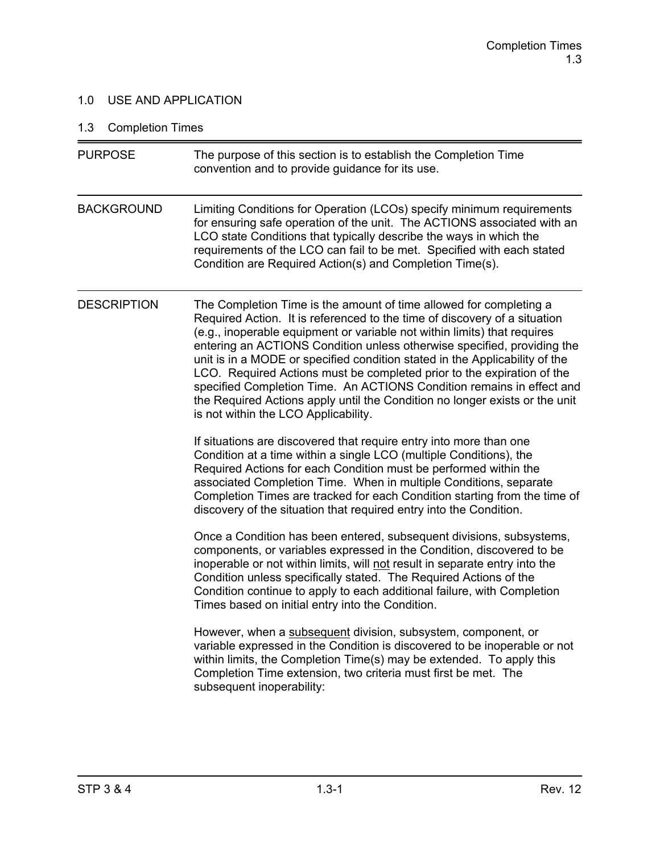### 1.0 USE AND APPLICATION

# 1.3 Completion Times

| <b>PURPOSE</b>     | The purpose of this section is to establish the Completion Time<br>convention and to provide guidance for its use.                                                                                                                                                                                                                                                                                                                                                                                                                                                                                                                                              |
|--------------------|-----------------------------------------------------------------------------------------------------------------------------------------------------------------------------------------------------------------------------------------------------------------------------------------------------------------------------------------------------------------------------------------------------------------------------------------------------------------------------------------------------------------------------------------------------------------------------------------------------------------------------------------------------------------|
| <b>BACKGROUND</b>  | Limiting Conditions for Operation (LCOs) specify minimum requirements<br>for ensuring safe operation of the unit. The ACTIONS associated with an<br>LCO state Conditions that typically describe the ways in which the<br>requirements of the LCO can fail to be met. Specified with each stated<br>Condition are Required Action(s) and Completion Time(s).                                                                                                                                                                                                                                                                                                    |
| <b>DESCRIPTION</b> | The Completion Time is the amount of time allowed for completing a<br>Required Action. It is referenced to the time of discovery of a situation<br>(e.g., inoperable equipment or variable not within limits) that requires<br>entering an ACTIONS Condition unless otherwise specified, providing the<br>unit is in a MODE or specified condition stated in the Applicability of the<br>LCO. Required Actions must be completed prior to the expiration of the<br>specified Completion Time. An ACTIONS Condition remains in effect and<br>the Required Actions apply until the Condition no longer exists or the unit<br>is not within the LCO Applicability. |
|                    | If situations are discovered that require entry into more than one<br>Condition at a time within a single LCO (multiple Conditions), the<br>Required Actions for each Condition must be performed within the<br>associated Completion Time. When in multiple Conditions, separate<br>Completion Times are tracked for each Condition starting from the time of<br>discovery of the situation that required entry into the Condition.                                                                                                                                                                                                                            |
|                    | Once a Condition has been entered, subsequent divisions, subsystems,<br>components, or variables expressed in the Condition, discovered to be<br>inoperable or not within limits, will not result in separate entry into the<br>Condition unless specifically stated. The Required Actions of the<br>Condition continue to apply to each additional failure, with Completion<br>Times based on initial entry into the Condition.                                                                                                                                                                                                                                |
|                    | However, when a subsequent division, subsystem, component, or<br>variable expressed in the Condition is discovered to be inoperable or not<br>within limits, the Completion Time(s) may be extended. To apply this<br>Completion Time extension, two criteria must first be met. The<br>subsequent inoperability:                                                                                                                                                                                                                                                                                                                                               |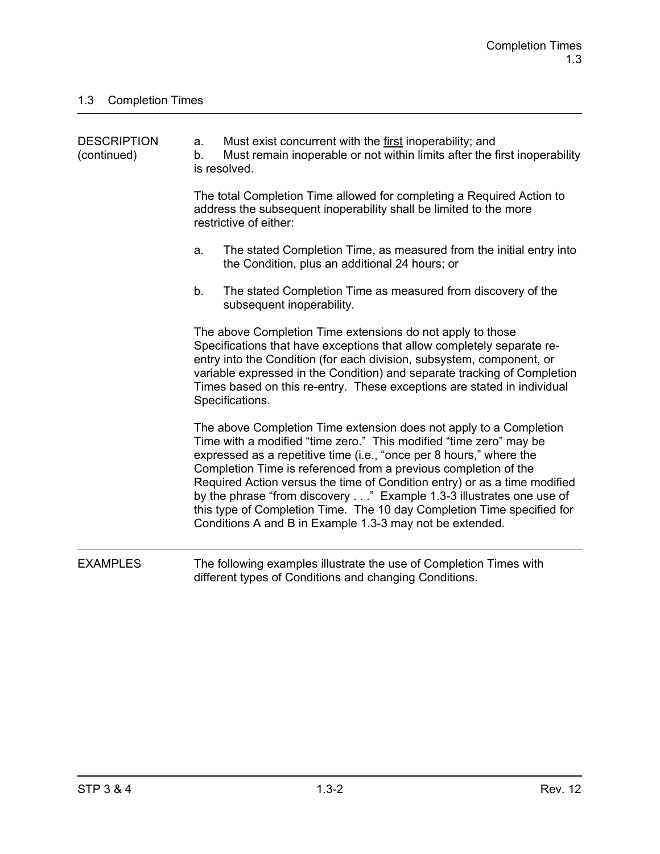| <b>DESCRIPTION</b><br>(continued) | a.<br>b. | Must exist concurrent with the first inoperability; and<br>Must remain inoperable or not within limits after the first inoperability<br>is resolved.                                                                                                                                                                                                                                                                                                                                                                                                                         |
|-----------------------------------|----------|------------------------------------------------------------------------------------------------------------------------------------------------------------------------------------------------------------------------------------------------------------------------------------------------------------------------------------------------------------------------------------------------------------------------------------------------------------------------------------------------------------------------------------------------------------------------------|
|                                   |          | The total Completion Time allowed for completing a Required Action to<br>address the subsequent inoperability shall be limited to the more<br>restrictive of either:                                                                                                                                                                                                                                                                                                                                                                                                         |
|                                   | a.       | The stated Completion Time, as measured from the initial entry into<br>the Condition, plus an additional 24 hours; or                                                                                                                                                                                                                                                                                                                                                                                                                                                        |
|                                   | b.       | The stated Completion Time as measured from discovery of the<br>subsequent inoperability.                                                                                                                                                                                                                                                                                                                                                                                                                                                                                    |
|                                   |          | The above Completion Time extensions do not apply to those<br>Specifications that have exceptions that allow completely separate re-<br>entry into the Condition (for each division, subsystem, component, or<br>variable expressed in the Condition) and separate tracking of Completion<br>Times based on this re-entry. These exceptions are stated in individual<br>Specifications.                                                                                                                                                                                      |
|                                   |          | The above Completion Time extension does not apply to a Completion<br>Time with a modified "time zero." This modified "time zero" may be<br>expressed as a repetitive time (i.e., "once per 8 hours," where the<br>Completion Time is referenced from a previous completion of the<br>Required Action versus the time of Condition entry) or as a time modified<br>by the phrase "from discovery" Example 1.3-3 illustrates one use of<br>this type of Completion Time. The 10 day Completion Time specified for<br>Conditions A and B in Example 1.3-3 may not be extended. |
| <b>EXAMPLES</b>                   |          | The following examples illustrate the use of Completion Times with<br>different types of Conditions and changing Conditions.                                                                                                                                                                                                                                                                                                                                                                                                                                                 |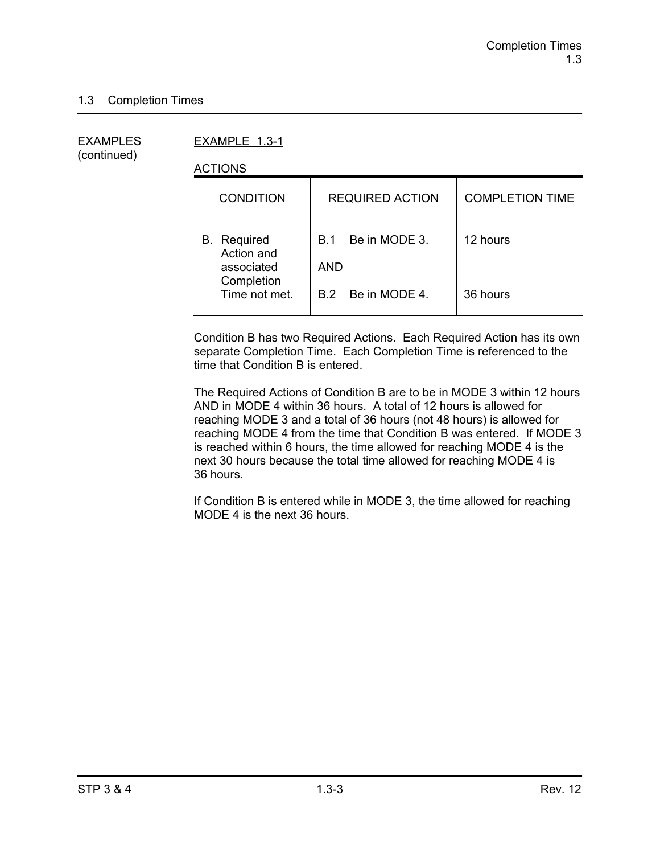(continued)

EXAMPLES EXAMPLE 1.3-1

ACTIONS

| <b>CONDITION</b>                               | <b>REQUIRED ACTION</b>                    | <b>COMPLETION TIME</b> |
|------------------------------------------------|-------------------------------------------|------------------------|
| <b>B.</b> Required<br>Action and<br>associated | Be in MODE 3.<br><b>B.1</b><br><b>AND</b> | 12 hours               |
| Completion<br>Time not met.                    | B.2 Be in MODE 4.                         | 36 hours               |

Condition B has two Required Actions. Each Required Action has its own separate Completion Time. Each Completion Time is referenced to the time that Condition B is entered.

The Required Actions of Condition B are to be in MODE 3 within 12 hours AND in MODE 4 within 36 hours. A total of 12 hours is allowed for reaching MODE 3 and a total of 36 hours (not 48 hours) is allowed for reaching MODE 4 from the time that Condition B was entered. If MODE 3 is reached within 6 hours, the time allowed for reaching MODE 4 is the next 30 hours because the total time allowed for reaching MODE 4 is 36 hours.

If Condition B is entered while in MODE 3, the time allowed for reaching MODE 4 is the next 36 hours.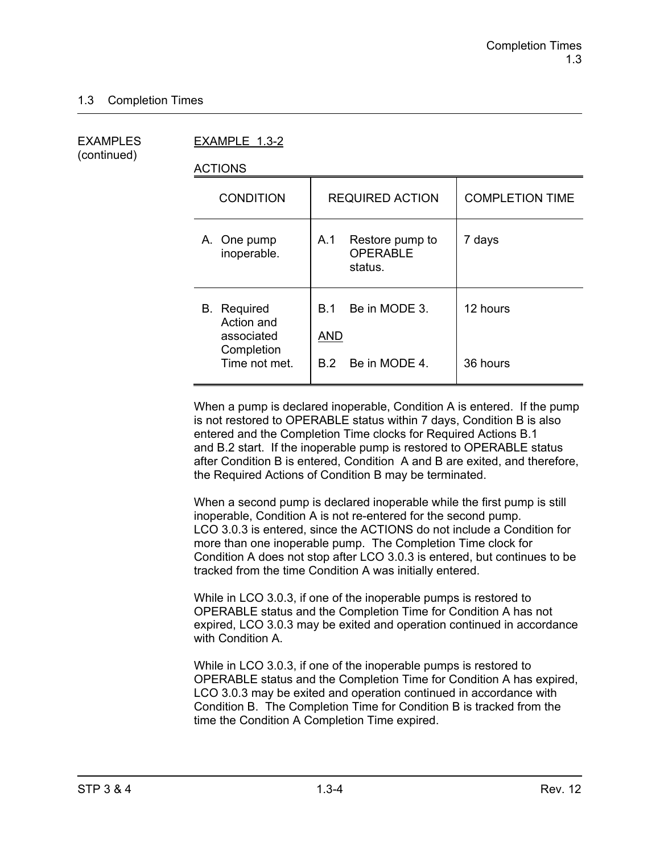(continued)

EXAMPLES EXAMPLE 1.3-2

ACTIONS

| <b>CONDITION</b>                                                              | <b>REQUIRED ACTION</b>                                                | <b>COMPLETION TIME</b> |
|-------------------------------------------------------------------------------|-----------------------------------------------------------------------|------------------------|
| A. One pump<br>inoperable.                                                    | Restore pump to<br>A.1<br><b>OPERABLE</b><br>status.                  | 7 days                 |
| <b>B.</b> Required<br>Action and<br>associated<br>Completion<br>Time not met. | Be in MODE 3.<br>B.1<br><b>AND</b><br>Be in MODE 4.<br>B <sub>2</sub> | 12 hours<br>36 hours   |

When a pump is declared inoperable, Condition A is entered. If the pump is not restored to OPERABLE status within 7 days, Condition B is also entered and the Completion Time clocks for Required Actions B.1 and B.2 start. If the inoperable pump is restored to OPERABLE status after Condition B is entered, Condition A and B are exited, and therefore, the Required Actions of Condition B may be terminated.

When a second pump is declared inoperable while the first pump is still inoperable, Condition A is not re-entered for the second pump. LCO 3.0.3 is entered, since the ACTIONS do not include a Condition for more than one inoperable pump. The Completion Time clock for Condition A does not stop after LCO 3.0.3 is entered, but continues to be tracked from the time Condition A was initially entered.

While in LCO 3.0.3, if one of the inoperable pumps is restored to OPERABLE status and the Completion Time for Condition A has not expired, LCO 3.0.3 may be exited and operation continued in accordance with Condition A.

While in LCO 3.0.3, if one of the inoperable pumps is restored to OPERABLE status and the Completion Time for Condition A has expired, LCO 3.0.3 may be exited and operation continued in accordance with Condition B. The Completion Time for Condition B is tracked from the time the Condition A Completion Time expired.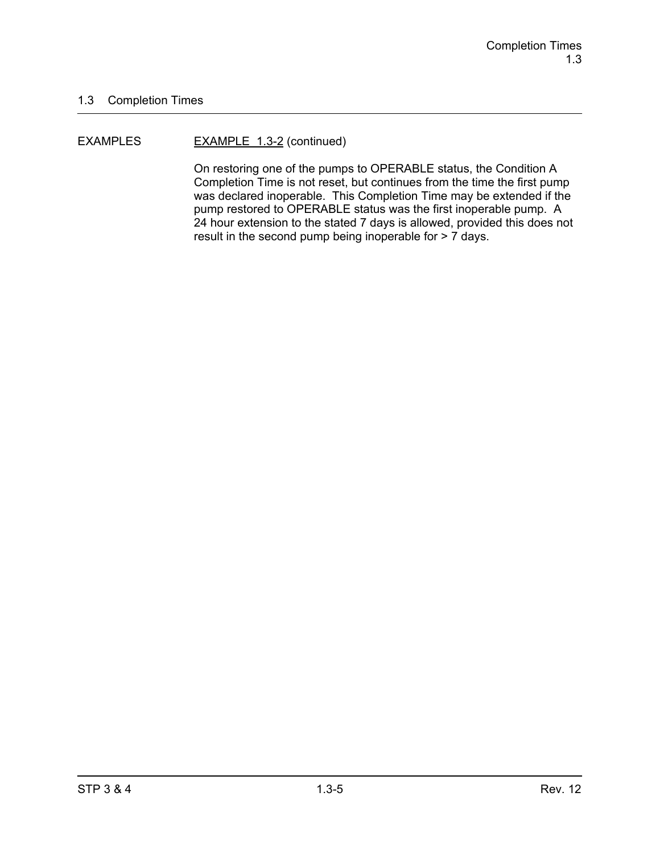#### EXAMPLES EXAMPLE 1.3-2 (continued)

On restoring one of the pumps to OPERABLE status, the Condition A Completion Time is not reset, but continues from the time the first pump was declared inoperable. This Completion Time may be extended if the pump restored to OPERABLE status was the first inoperable pump. A 24 hour extension to the stated 7 days is allowed, provided this does not result in the second pump being inoperable for > 7 days.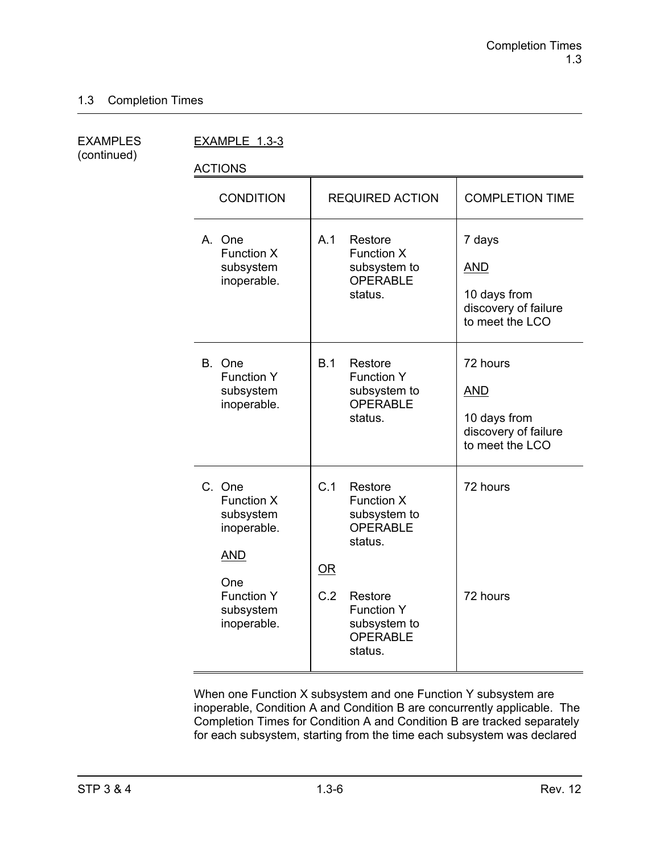(continued)

EXAMPLES EXAMPLE 1.3-3

ACTIONS

| <b>CONDITION</b>                                                                                                              | <b>REQUIRED ACTION</b>                                                                                                                                                       | <b>COMPLETION TIME</b>                                                            |
|-------------------------------------------------------------------------------------------------------------------------------|------------------------------------------------------------------------------------------------------------------------------------------------------------------------------|-----------------------------------------------------------------------------------|
| A. One<br><b>Function X</b><br>subsystem<br>inoperable.                                                                       | A.1<br>Restore<br><b>Function X</b><br>subsystem to<br><b>OPERABLE</b><br>status.                                                                                            | 7 days<br><b>AND</b><br>10 days from<br>discovery of failure<br>to meet the LCO   |
| B. One<br><b>Function Y</b><br>subsystem<br>inoperable.                                                                       | B.1<br>Restore<br><b>Function Y</b><br>subsystem to<br><b>OPERABLE</b><br>status.                                                                                            | 72 hours<br><b>AND</b><br>10 days from<br>discovery of failure<br>to meet the LCO |
| C. One<br><b>Function X</b><br>subsystem<br>inoperable.<br><b>AND</b><br>One<br><b>Function Y</b><br>subsystem<br>inoperable. | C.1<br>Restore<br>Function X<br>subsystem to<br><b>OPERABLE</b><br>status.<br><b>OR</b><br>C.2<br>Restore<br><b>Function Y</b><br>subsystem to<br><b>OPERABLE</b><br>status. | 72 hours<br>72 hours                                                              |

When one Function X subsystem and one Function Y subsystem are inoperable, Condition A and Condition B are concurrently applicable. The Completion Times for Condition A and Condition B are tracked separately for each subsystem, starting from the time each subsystem was declared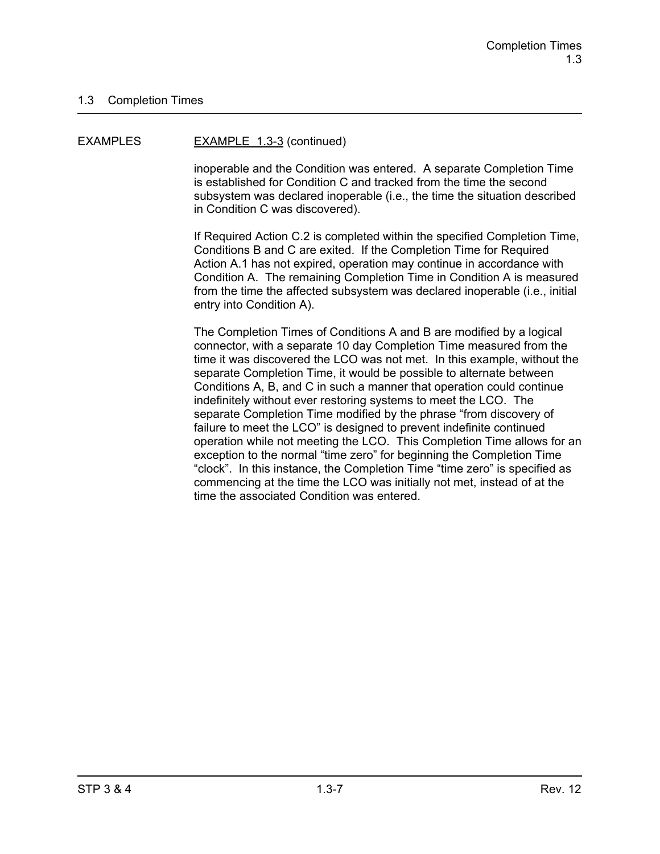#### EXAMPLES EXAMPLE 1.3-3 (continued)

inoperable and the Condition was entered. A separate Completion Time is established for Condition C and tracked from the time the second subsystem was declared inoperable (i.e., the time the situation described in Condition C was discovered).

If Required Action C.2 is completed within the specified Completion Time, Conditions B and C are exited. If the Completion Time for Required Action A.1 has not expired, operation may continue in accordance with Condition A. The remaining Completion Time in Condition A is measured from the time the affected subsystem was declared inoperable (i.e., initial entry into Condition A).

The Completion Times of Conditions A and B are modified by a logical connector, with a separate 10 day Completion Time measured from the time it was discovered the LCO was not met. In this example, without the separate Completion Time, it would be possible to alternate between Conditions A, B, and C in such a manner that operation could continue indefinitely without ever restoring systems to meet the LCO. The separate Completion Time modified by the phrase "from discovery of failure to meet the LCO" is designed to prevent indefinite continued operation while not meeting the LCO. This Completion Time allows for an exception to the normal "time zero" for beginning the Completion Time "clock". In this instance, the Completion Time "time zero" is specified as commencing at the time the LCO was initially not met, instead of at the time the associated Condition was entered.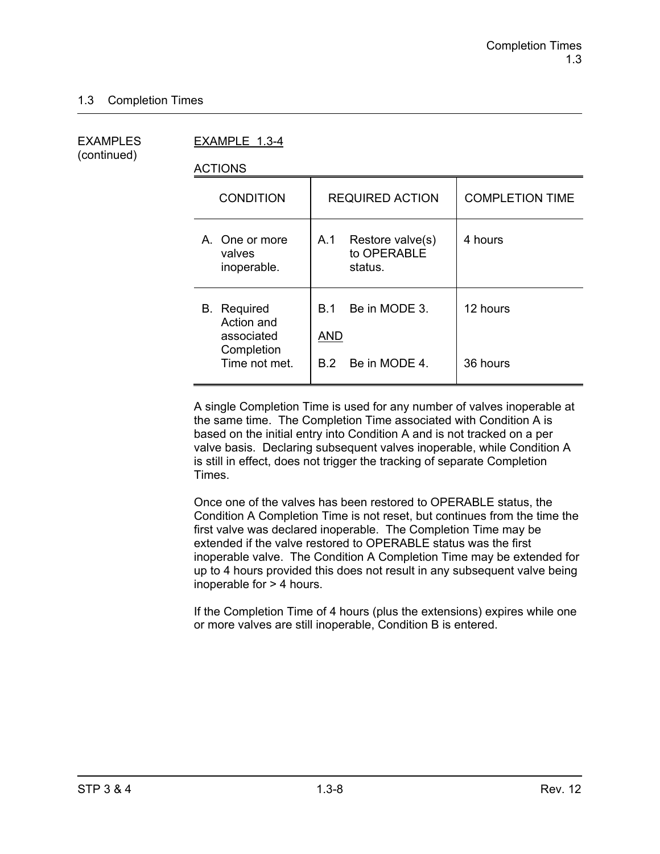(continued)

EXAMPLES EXAMPLE 1.3-4

ACTIONS

| <b>CONDITION</b>                                                              | <b>REQUIRED ACTION</b>                                     | <b>COMPLETION TIME</b> |
|-------------------------------------------------------------------------------|------------------------------------------------------------|------------------------|
| A. One or more<br>valves<br>inoperable.                                       | A.1<br>Restore valve(s)<br>to OPERABLE<br>status.          | 4 hours                |
| <b>B.</b> Required<br>Action and<br>associated<br>Completion<br>Time not met. | Be in MODE 3.<br><b>B</b> 1<br>AND<br>Be in MODE 4.<br>B 2 | 12 hours<br>36 hours   |
|                                                                               |                                                            |                        |

A single Completion Time is used for any number of valves inoperable at the same time. The Completion Time associated with Condition A is based on the initial entry into Condition A and is not tracked on a per valve basis. Declaring subsequent valves inoperable, while Condition A is still in effect, does not trigger the tracking of separate Completion Times.

Once one of the valves has been restored to OPERABLE status, the Condition A Completion Time is not reset, but continues from the time the first valve was declared inoperable. The Completion Time may be extended if the valve restored to OPERABLE status was the first inoperable valve. The Condition A Completion Time may be extended for up to 4 hours provided this does not result in any subsequent valve being inoperable for > 4 hours.

If the Completion Time of 4 hours (plus the extensions) expires while one or more valves are still inoperable, Condition B is entered.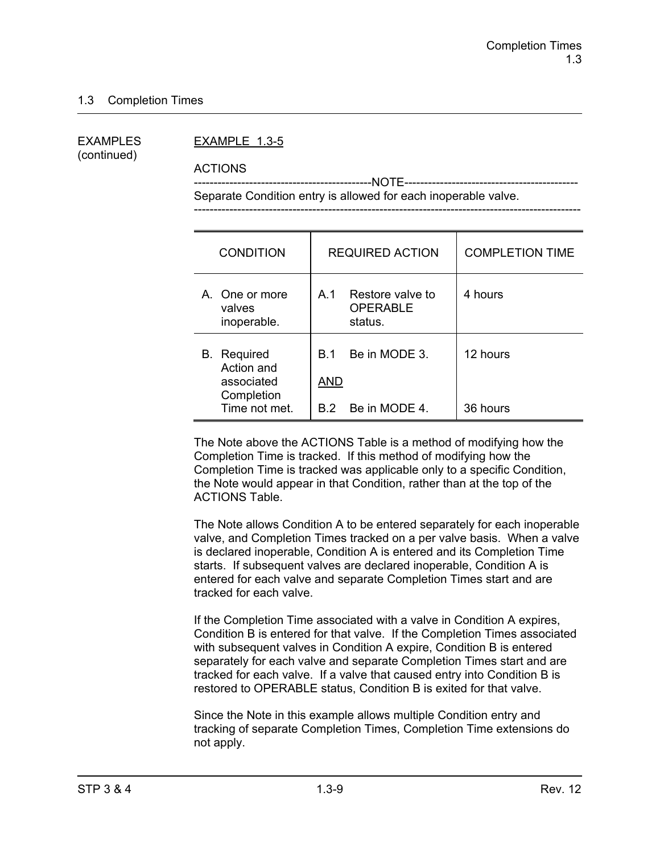(continued)

#### EXAMPLES EXAMPLE 1.3-5

ACTIONS

 ---------------------------------------------NOTE-------------------------------------------- Separate Condition entry is allowed for each inoperable valve.

| <b>CONDITION</b>                                                              | <b>REQUIRED ACTION</b>                                           | <b>COMPLETION TIME</b> |
|-------------------------------------------------------------------------------|------------------------------------------------------------------|------------------------|
| A. One or more<br>valves<br>inoperable.                                       | Restore valve to<br>A <sub>1</sub><br><b>OPERABLE</b><br>status. | 4 hours                |
| <b>B.</b> Required<br>Action and<br>associated<br>Completion<br>Time not met. | Be in MODE 3.<br><b>B</b> 1<br>AND<br>B.2 Be in MODE 4.          | 12 hours<br>36 hours   |

The Note above the ACTIONS Table is a method of modifying how the Completion Time is tracked. If this method of modifying how the Completion Time is tracked was applicable only to a specific Condition, the Note would appear in that Condition, rather than at the top of the ACTIONS Table.

The Note allows Condition A to be entered separately for each inoperable valve, and Completion Times tracked on a per valve basis. When a valve is declared inoperable, Condition A is entered and its Completion Time starts. If subsequent valves are declared inoperable, Condition A is entered for each valve and separate Completion Times start and are tracked for each valve.

If the Completion Time associated with a valve in Condition A expires, Condition B is entered for that valve. If the Completion Times associated with subsequent valves in Condition A expire, Condition B is entered separately for each valve and separate Completion Times start and are tracked for each valve. If a valve that caused entry into Condition B is restored to OPERABLE status, Condition B is exited for that valve.

Since the Note in this example allows multiple Condition entry and tracking of separate Completion Times, Completion Time extensions do not apply.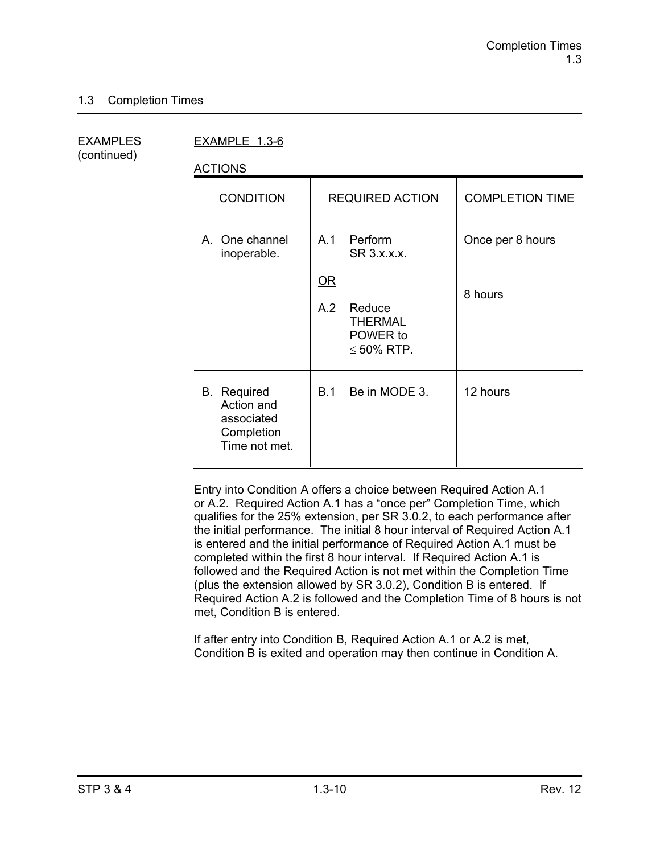(continued)

EXAMPLES EXAMPLE 1.3-6

ACTIONS

| <b>CONDITION</b>                                                              | <b>REQUIRED ACTION</b>                                                                                                        | <b>COMPLETION TIME</b>      |
|-------------------------------------------------------------------------------|-------------------------------------------------------------------------------------------------------------------------------|-----------------------------|
| A. One channel<br>inoperable.                                                 | Perform<br>A.1<br>SR 3.x.x.x.<br>$\underline{\mathsf{OR}}$<br>A.2<br>Reduce<br><b>THERMAL</b><br>POWER to<br>$\leq 50\%$ RTP. | Once per 8 hours<br>8 hours |
| <b>B.</b> Required<br>Action and<br>associated<br>Completion<br>Time not met. | Be in MODE 3.<br>B.1                                                                                                          | 12 hours                    |

Entry into Condition A offers a choice between Required Action A.1 or A.2. Required Action A.1 has a "once per" Completion Time, which qualifies for the 25% extension, per SR 3.0.2, to each performance after the initial performance. The initial 8 hour interval of Required Action A.1 is entered and the initial performance of Required Action A.1 must be completed within the first 8 hour interval. If Required Action A.1 is followed and the Required Action is not met within the Completion Time (plus the extension allowed by SR 3.0.2), Condition B is entered. If Required Action A.2 is followed and the Completion Time of 8 hours is not met, Condition B is entered.

If after entry into Condition B, Required Action A.1 or A.2 is met, Condition B is exited and operation may then continue in Condition A.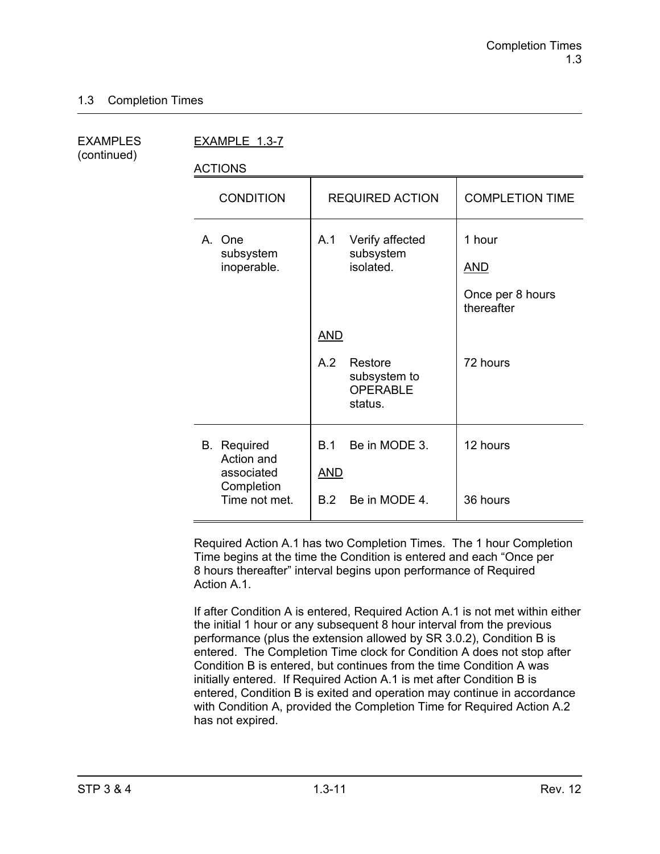(continued)

EXAMPLES EXAMPLE 1.3-7

ACTIONS

| <b>CONDITION</b>                                                              | <b>REQUIRED ACTION</b>                                                     | <b>COMPLETION TIME</b>                                 |
|-------------------------------------------------------------------------------|----------------------------------------------------------------------------|--------------------------------------------------------|
| A. One<br>subsystem<br>inoperable.                                            | Verify affected<br>A.1<br>subsystem<br>isolated.                           | 1 hour<br><u>AND</u><br>Once per 8 hours<br>thereafter |
|                                                                               | <b>AND</b><br>A.2<br>Restore<br>subsystem to<br><b>OPERABLE</b><br>status. | 72 hours                                               |
| <b>B.</b> Required<br>Action and<br>associated<br>Completion<br>Time not met. | Be in MODE 3.<br>B.1<br><b>AND</b><br>Be in MODE 4.<br>B.2                 | 12 hours<br>36 hours                                   |

Required Action A.1 has two Completion Times. The 1 hour Completion Time begins at the time the Condition is entered and each "Once per 8 hours thereafter" interval begins upon performance of Required Action A<sub>1</sub>

If after Condition A is entered, Required Action A.1 is not met within either the initial 1 hour or any subsequent 8 hour interval from the previous performance (plus the extension allowed by SR 3.0.2), Condition B is entered. The Completion Time clock for Condition A does not stop after Condition B is entered, but continues from the time Condition A was initially entered. If Required Action A.1 is met after Condition B is entered, Condition B is exited and operation may continue in accordance with Condition A, provided the Completion Time for Required Action A.2 has not expired.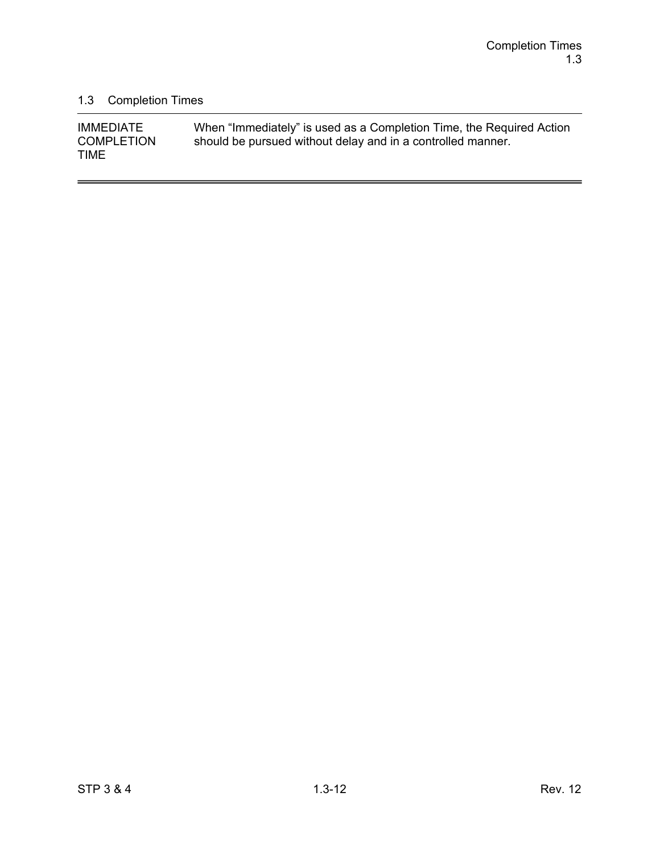$\overline{a}$ 

# 1.3 Completion Times

| <b>IMMEDIATE</b>                 | When "Immediately" is used as a Completion Time, the Required Action |
|----------------------------------|----------------------------------------------------------------------|
| <b>COMPLETION</b><br><b>TIME</b> | should be pursued without delay and in a controlled manner.          |
|                                  |                                                                      |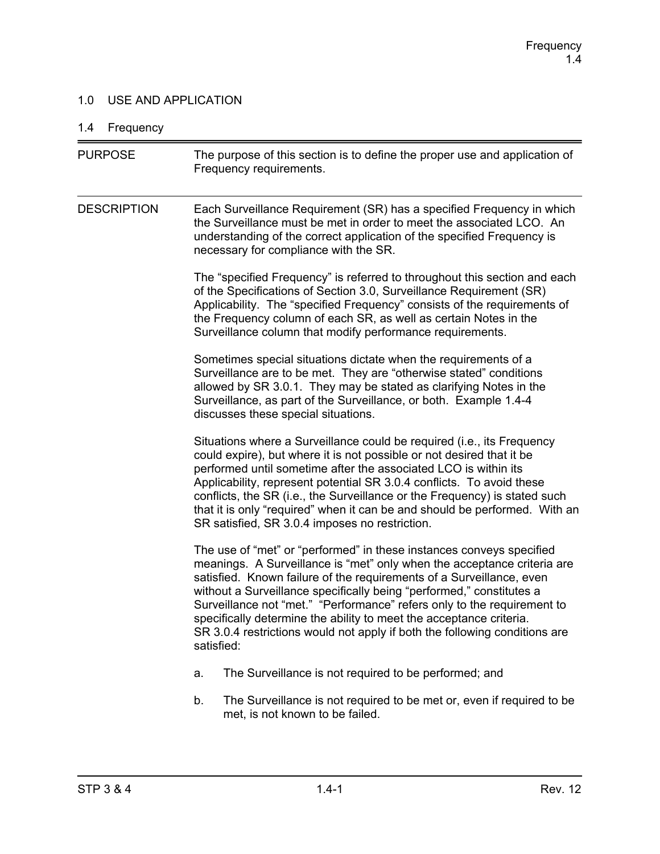### 1.0 USE AND APPLICATION

# 1.4 Frequency

| <b>PURPOSE</b>     | The purpose of this section is to define the proper use and application of<br>Frequency requirements.                                                                                                                                                                                                                                                                                                                                                                                                                                         |
|--------------------|-----------------------------------------------------------------------------------------------------------------------------------------------------------------------------------------------------------------------------------------------------------------------------------------------------------------------------------------------------------------------------------------------------------------------------------------------------------------------------------------------------------------------------------------------|
| <b>DESCRIPTION</b> | Each Surveillance Requirement (SR) has a specified Frequency in which<br>the Surveillance must be met in order to meet the associated LCO. An<br>understanding of the correct application of the specified Frequency is<br>necessary for compliance with the SR.                                                                                                                                                                                                                                                                              |
|                    | The "specified Frequency" is referred to throughout this section and each<br>of the Specifications of Section 3.0, Surveillance Requirement (SR)<br>Applicability. The "specified Frequency" consists of the requirements of<br>the Frequency column of each SR, as well as certain Notes in the<br>Surveillance column that modify performance requirements.                                                                                                                                                                                 |
|                    | Sometimes special situations dictate when the requirements of a<br>Surveillance are to be met. They are "otherwise stated" conditions<br>allowed by SR 3.0.1. They may be stated as clarifying Notes in the<br>Surveillance, as part of the Surveillance, or both. Example 1.4-4<br>discusses these special situations.                                                                                                                                                                                                                       |
|                    | Situations where a Surveillance could be required (i.e., its Frequency<br>could expire), but where it is not possible or not desired that it be<br>performed until sometime after the associated LCO is within its<br>Applicability, represent potential SR 3.0.4 conflicts. To avoid these<br>conflicts, the SR (i.e., the Surveillance or the Frequency) is stated such<br>that it is only "required" when it can be and should be performed. With an<br>SR satisfied, SR 3.0.4 imposes no restriction.                                     |
|                    | The use of "met" or "performed" in these instances conveys specified<br>meanings. A Surveillance is "met" only when the acceptance criteria are<br>satisfied. Known failure of the requirements of a Surveillance, even<br>without a Surveillance specifically being "performed," constitutes a<br>Surveillance not "met." "Performance" refers only to the requirement to<br>specifically determine the ability to meet the acceptance criteria.<br>SR 3.0.4 restrictions would not apply if both the following conditions are<br>satisfied: |
|                    | The Surveillance is not required to be performed; and<br>a.                                                                                                                                                                                                                                                                                                                                                                                                                                                                                   |
|                    | The Surveillance is not required to be met or, even if required to be<br>b.<br>met, is not known to be failed.                                                                                                                                                                                                                                                                                                                                                                                                                                |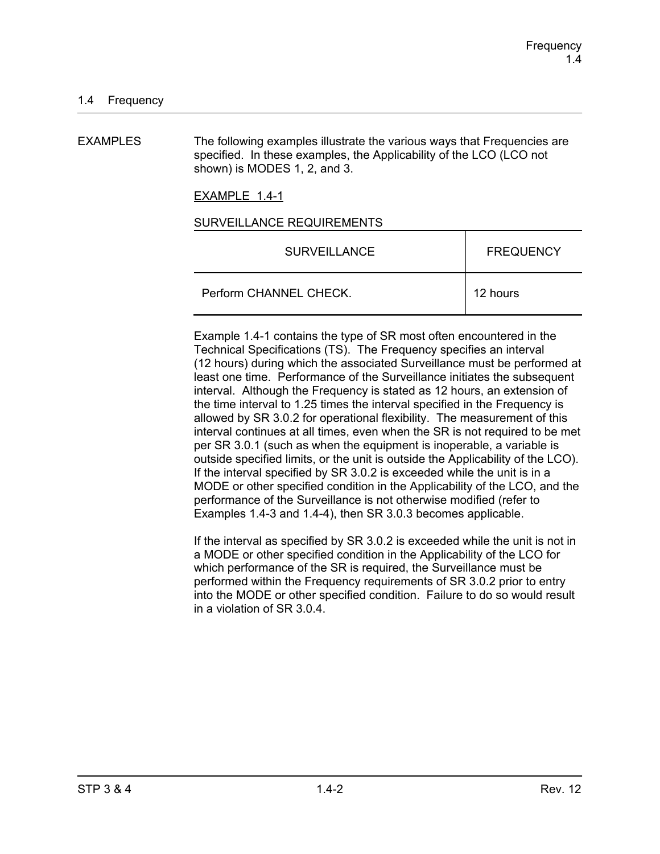EXAMPLES The following examples illustrate the various ways that Frequencies are specified. In these examples, the Applicability of the LCO (LCO not shown) is MODES 1, 2, and 3.

EXAMPLE 1.4-1

#### SURVEILLANCE REQUIREMENTS

| <b>SURVEILLANCE</b>    | <b>FREQUENCY</b> |
|------------------------|------------------|
| Perform CHANNEL CHECK. | 12 hours         |

Example 1.4-1 contains the type of SR most often encountered in the Technical Specifications (TS). The Frequency specifies an interval (12 hours) during which the associated Surveillance must be performed at least one time. Performance of the Surveillance initiates the subsequent interval. Although the Frequency is stated as 12 hours, an extension of the time interval to 1.25 times the interval specified in the Frequency is allowed by SR 3.0.2 for operational flexibility. The measurement of this interval continues at all times, even when the SR is not required to be met per SR 3.0.1 (such as when the equipment is inoperable, a variable is outside specified limits, or the unit is outside the Applicability of the LCO). If the interval specified by SR 3.0.2 is exceeded while the unit is in a MODE or other specified condition in the Applicability of the LCO, and the performance of the Surveillance is not otherwise modified (refer to Examples 1.4-3 and 1.4-4), then SR 3.0.3 becomes applicable.

If the interval as specified by SR 3.0.2 is exceeded while the unit is not in a MODE or other specified condition in the Applicability of the LCO for which performance of the SR is required, the Surveillance must be performed within the Frequency requirements of SR 3.0.2 prior to entry into the MODE or other specified condition. Failure to do so would result in a violation of SR 3.0.4.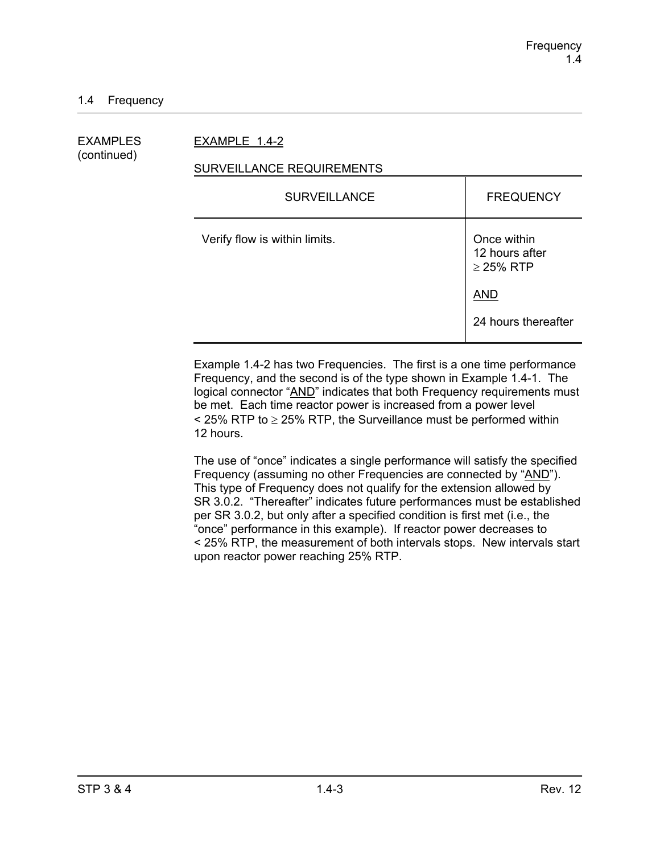EXAMPLES EXAMPLE 1.4-2

# (continued)

### SURVEILLANCE REQUIREMENTS

| <b>FREQUENCY</b>                                |
|-------------------------------------------------|
| Once within<br>12 hours after<br>$\geq$ 25% RTP |
| <b>AND</b>                                      |
| 24 hours thereafter                             |
|                                                 |

Example 1.4-2 has two Frequencies. The first is a one time performance Frequency, and the second is of the type shown in Example 1.4-1. The logical connector "AND" indicates that both Frequency requirements must be met. Each time reactor power is increased from a power level  $\le$  25% RTP to  $\ge$  25% RTP, the Surveillance must be performed within 12 hours.

The use of "once" indicates a single performance will satisfy the specified Frequency (assuming no other Frequencies are connected by "AND"). This type of Frequency does not qualify for the extension allowed by SR 3.0.2. "Thereafter" indicates future performances must be established per SR 3.0.2, but only after a specified condition is first met (i.e., the "once" performance in this example). If reactor power decreases to < 25% RTP, the measurement of both intervals stops. New intervals start upon reactor power reaching 25% RTP.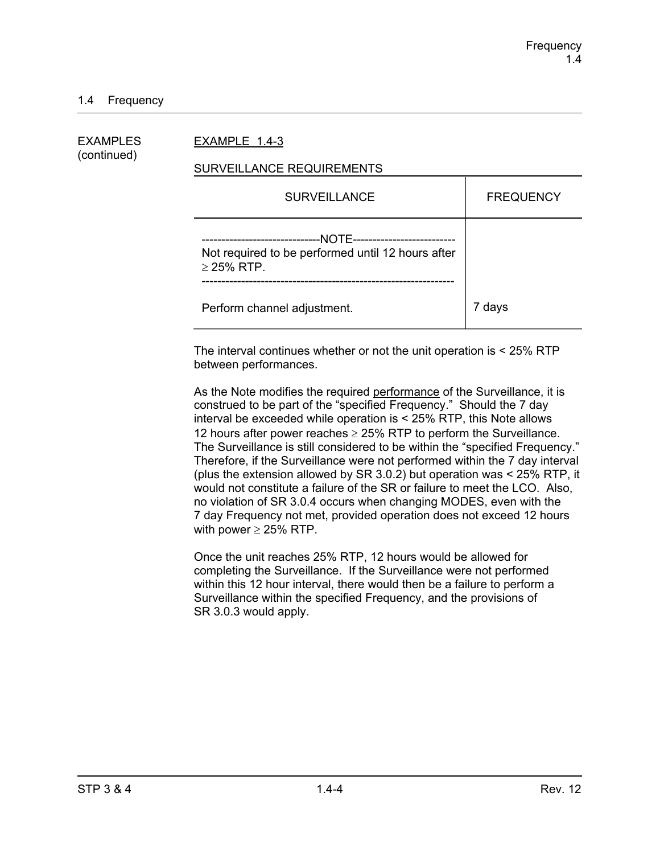### 1.4 Frequency

| EXAMPLES<br>(continued) | EXAMPLE 1.4-3                                                                                                                           |                  |  |
|-------------------------|-----------------------------------------------------------------------------------------------------------------------------------------|------------------|--|
|                         | SURVEILLANCE REQUIREMENTS                                                                                                               |                  |  |
|                         | <b>SURVEILLANCE</b>                                                                                                                     | <b>FREQUENCY</b> |  |
|                         | --NOTE---------------------------<br>--------------------------<br>Not required to be performed until 12 hours after<br>$\geq$ 25% RTP. |                  |  |
|                         | Perform channel adjustment.                                                                                                             | 7 days           |  |

The interval continues whether or not the unit operation is < 25% RTP between performances.

As the Note modifies the required performance of the Surveillance, it is construed to be part of the "specified Frequency." Should the 7 day interval be exceeded while operation is < 25% RTP, this Note allows 12 hours after power reaches  $\geq$  25% RTP to perform the Surveillance. The Surveillance is still considered to be within the "specified Frequency." Therefore, if the Surveillance were not performed within the 7 day interval (plus the extension allowed by SR 3.0.2) but operation was < 25% RTP, it would not constitute a failure of the SR or failure to meet the LCO. Also, no violation of SR 3.0.4 occurs when changing MODES, even with the 7 day Frequency not met, provided operation does not exceed 12 hours with power  $\geq$  25% RTP.

Once the unit reaches 25% RTP, 12 hours would be allowed for completing the Surveillance. If the Surveillance were not performed within this 12 hour interval, there would then be a failure to perform a Surveillance within the specified Frequency, and the provisions of SR 3.0.3 would apply.